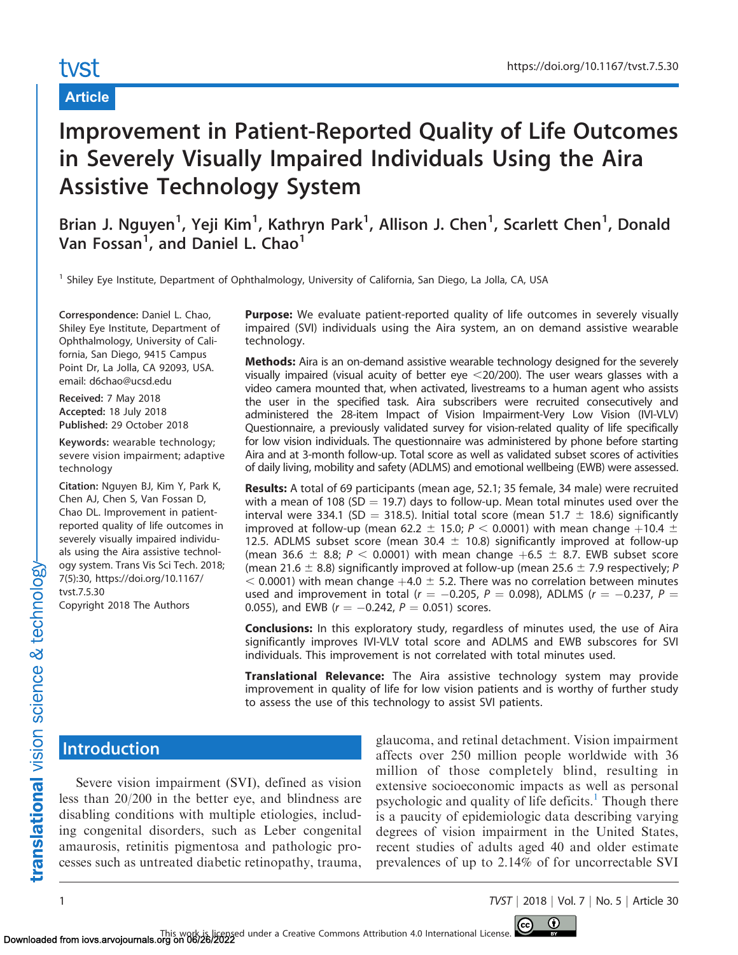# tvst

### Article

# Improvement in Patient-Reported Quality of Life Outcomes in Severely Visually Impaired Individuals Using the Aira Assistive Technology System

Brian J. Nguyen<sup>1</sup>, Yeji Kim<sup>1</sup>, Kathryn Park<sup>1</sup>, Allison J. Chen<sup>1</sup>, Scarlett Chen<sup>1</sup>, Donald Van Fossan<sup>1</sup>, and Daniel L. Chao<sup>1</sup>

<sup>1</sup> Shiley Eye Institute, Department of Ophthalmology, University of California, San Diego, La Jolla, CA, USA

Correspondence: Daniel L. Chao, Shiley Eye Institute, Department of Ophthalmology, University of California, San Diego, 9415 Campus Point Dr, La Jolla, CA 92093, USA. email: d6chao@ucsd.edu

Received: 7 May 2018 Accepted: 18 July 2018 Published: 29 October 2018

Keywords: wearable technology; severe vision impairment; adaptive technology

Citation: Nguyen BJ, Kim Y, Park K, Chen AJ, Chen S, Van Fossan D, Chao DL. Improvement in patientreported quality of life outcomes in severely visually impaired individuals using the Aira assistive technology system. Trans Vis Sci Tech. 2018; 7(5):30, https://doi.org/10.1167/ tvst.7.5.30 Copyright 2018 The Authors

**Purpose:** We evaluate patient-reported quality of life outcomes in severely visually impaired (SVI) individuals using the Aira system, an on demand assistive wearable technology.

**Methods:** Aira is an on-demand assistive wearable technology designed for the severely visually impaired (visual acuity of better eye  $\langle 20/200 \rangle$ . The user wears glasses with a video camera mounted that, when activated, livestreams to a human agent who assists the user in the specified task. Aira subscribers were recruited consecutively and administered the 28-item Impact of Vision Impairment-Very Low Vision (IVI-VLV) Questionnaire, a previously validated survey for vision-related quality of life specifically for low vision individuals. The questionnaire was administered by phone before starting Aira and at 3-month follow-up. Total score as well as validated subset scores of activities of daily living, mobility and safety (ADLMS) and emotional wellbeing (EWB) were assessed.

Results: A total of 69 participants (mean age, 52.1; 35 female, 34 male) were recruited with a mean of 108 (SD  $=$  19.7) days to follow-up. Mean total minutes used over the interval were 334.1 (SD = 318.5). Initial total score (mean 51.7  $\pm$  18.6) significantly improved at follow-up (mean 62.2  $\pm$  15.0; P < 0.0001) with mean change +10.4  $\pm$ 12.5. ADLMS subset score (mean 30.4  $\pm$  10.8) significantly improved at follow-up (mean 36.6  $\pm$  8.8; P < 0.0001) with mean change  $+6.5 \pm 8.7$ . EWB subset score (mean 21.6  $\pm$  8.8) significantly improved at follow-up (mean 25.6  $\pm$  7.9 respectively; P  $<$  0.0001) with mean change  $+4.0 \pm 5.2$ . There was no correlation between minutes used and improvement in total ( $r = -0.205$ ,  $P = 0.098$ ), ADLMS ( $r = -0.237$ ,  $P =$ 0.055), and EWB ( $r = -0.242$ ,  $P = 0.051$ ) scores.

**Conclusions:** In this exploratory study, regardless of minutes used, the use of Aira significantly improves IVI-VLV total score and ADLMS and EWB subscores for SVI individuals. This improvement is not correlated with total minutes used.

Translational Relevance: The Aira assistive technology system may provide improvement in quality of life for low vision patients and is worthy of further study to assess the use of this technology to assist SVI patients.

# Introduction

Severe vision impairment (SVI), defined as vision less than 20/200 in the better eye, and blindness are disabling conditions with multiple etiologies, including congenital disorders, such as Leber congenital amaurosis, retinitis pigmentosa and pathologic processes such as untreated diabetic retinopathy, trauma, glaucoma, and retinal detachment. Vision impairment affects over 250 million people worldwide with 36 million of those completely blind, resulting in extensive socioeconomic impacts as well as personal psychologic and quality of life deficits.<sup>1</sup> Though there is a paucity of epidemiologic data describing varying degrees of vision impairment in the United States, recent studies of adults aged 40 and older estimate prevalences of up to 2.14% of for uncorrectable SVI

1 TVST j 2018 j Vol. 7 j No. 5 j Article 30

 $\odot$ 

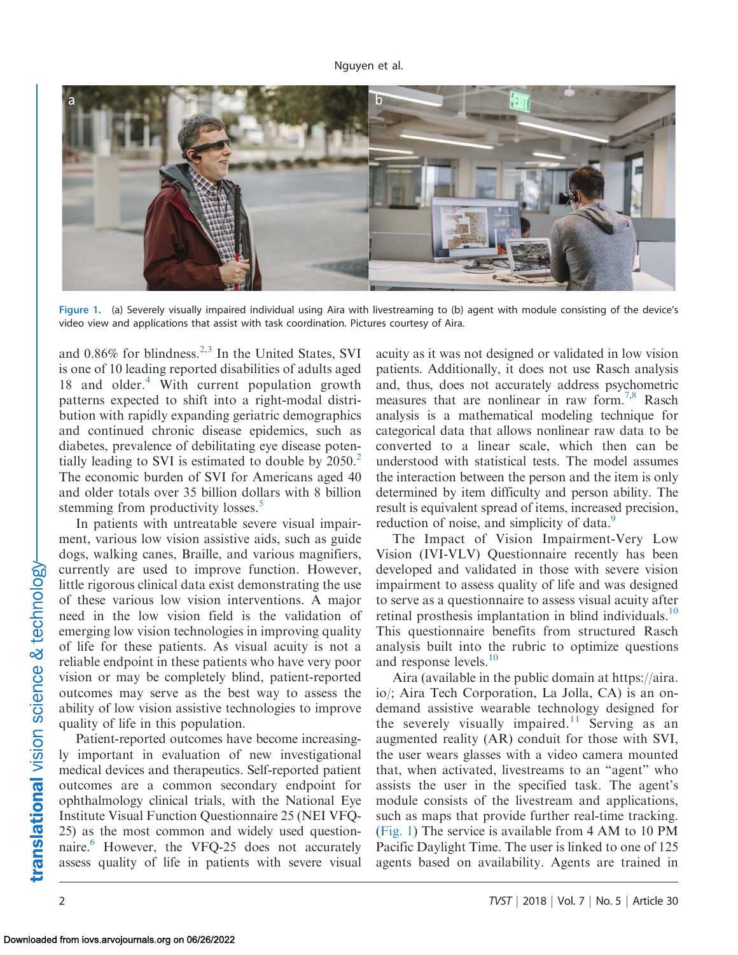#### Nguyen et al.



Figure 1. (a) Severely visually impaired individual using Aira with livestreaming to (b) agent with module consisting of the device's video view and applications that assist with task coordination. Pictures courtesy of Aira.

and 0.86% for blindness.<sup>[2,3](#page-6-0)</sup> In the United States, SVI is one of 10 leading reported disabilities of adults aged 18 and older.<sup>[4](#page-7-0)</sup> With current population growth patterns expected to shift into a right-modal distribution with rapidly expanding geriatric demographics and continued chronic disease epidemics, such as diabetes, prevalence of debilitating eye disease potentially leading to SVI is estimated to double by  $2050<sup>2</sup>$  $2050<sup>2</sup>$ The economic burden of SVI for Americans aged 40 and older totals over 35 billion dollars with 8 billion stemming from productivity losses.<sup>[5](#page-7-0)</sup>

In patients with untreatable severe visual impairment, various low vision assistive aids, such as guide dogs, walking canes, Braille, and various magnifiers, currently are used to improve function. However, little rigorous clinical data exist demonstrating the use of these various low vision interventions. A major need in the low vision field is the validation of emerging low vision technologies in improving quality of life for these patients. As visual acuity is not a reliable endpoint in these patients who have very poor vision or may be completely blind, patient-reported outcomes may serve as the best way to assess the ability of low vision assistive technologies to improve quality of life in this population.

Patient-reported outcomes have become increasingly important in evaluation of new investigational medical devices and therapeutics. Self-reported patient outcomes are a common secondary endpoint for ophthalmology clinical trials, with the National Eye Institute Visual Function Questionnaire 25 (NEI VFQ-25) as the most common and widely used question-naire.<sup>[6](#page-7-0)</sup> However, the VFQ-25 does not accurately assess quality of life in patients with severe visual

acuity as it was not designed or validated in low vision patients. Additionally, it does not use Rasch analysis and, thus, does not accurately address psychometric measures that are nonlinear in raw form.<sup>7,8</sup> Rasch analysis is a mathematical modeling technique for categorical data that allows nonlinear raw data to be converted to a linear scale, which then can be understood with statistical tests. The model assumes the interaction between the person and the item is only determined by item difficulty and person ability. The result is equivalent spread of items, increased precision, reduction of noise, and simplicity of data.<sup>9</sup>

The Impact of Vision Impairment-Very Low Vision (IVI-VLV) Questionnaire recently has been developed and validated in those with severe vision impairment to assess quality of life and was designed to serve as a questionnaire to assess visual acuity after retinal prosthesis implantation in blind individuals. $10$ This questionnaire benefits from structured Rasch analysis built into the rubric to optimize questions and response levels.<sup>[10](#page-7-0)</sup>

Aira (available in the public domain at https://aira. io/; Aira Tech Corporation, La Jolla, CA) is an ondemand assistive wearable technology designed for the severely visually impaired.<sup>[11](#page-7-0)</sup> Serving as an augmented reality (AR) conduit for those with SVI, the user wears glasses with a video camera mounted that, when activated, livestreams to an ''agent'' who assists the user in the specified task. The agent's module consists of the livestream and applications, such as maps that provide further real-time tracking. (Fig. 1) The service is available from 4 AM to 10 PM Pacific Daylight Time. The user is linked to one of 125 agents based on availability. Agents are trained in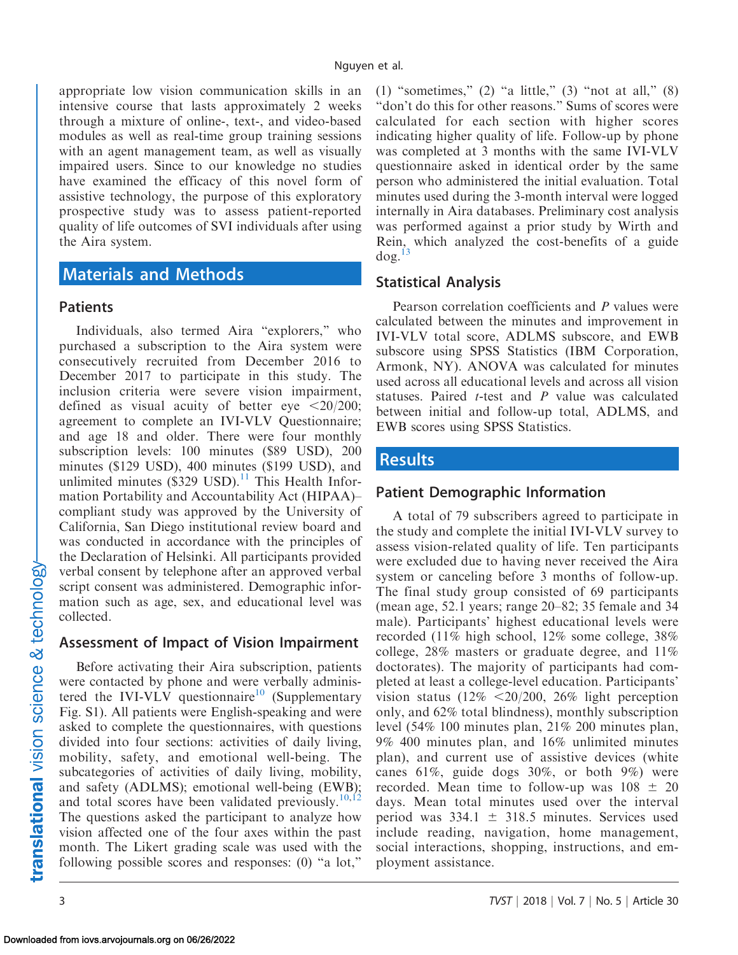appropriate low vision communication skills in an intensive course that lasts approximately 2 weeks through a mixture of online-, text-, and video-based modules as well as real-time group training sessions with an agent management team, as well as visually impaired users. Since to our knowledge no studies have examined the efficacy of this novel form of assistive technology, the purpose of this exploratory prospective study was to assess patient-reported quality of life outcomes of SVI individuals after using the Aira system.

# Materials and Methods

#### **Patients**

Individuals, also termed Aira ''explorers,'' who purchased a subscription to the Aira system were consecutively recruited from December 2016 to December 2017 to participate in this study. The inclusion criteria were severe vision impairment, defined as visual acuity of better eye  $\leq 20/200$ ; agreement to complete an IVI-VLV Questionnaire; and age 18 and older. There were four monthly subscription levels: 100 minutes (\$89 USD), 200 minutes (\$129 USD), 400 minutes (\$199 USD), and unlimited minutes (\$329 USD). $^{11}$  $^{11}$  $^{11}$  This Health Information Portability and Accountability Act (HIPAA)– compliant study was approved by the University of California, San Diego institutional review board and was conducted in accordance with the principles of the Declaration of Helsinki. All participants provided verbal consent by telephone after an approved verbal script consent was administered. Demographic information such as age, sex, and educational level was collected.

#### Assessment of Impact of Vision Impairment

Before activating their Aira subscription, patients were contacted by phone and were verbally adminis-tered the IVI-VLV questionnaire<sup>[10](#page-7-0)</sup> (Supplementary Fig. S1). All patients were English-speaking and were asked to complete the questionnaires, with questions divided into four sections: activities of daily living, mobility, safety, and emotional well-being. The subcategories of activities of daily living, mobility, and safety (ADLMS); emotional well-being (EWB); and total scores have been validated previously.<sup>10,12</sup> The questions asked the participant to analyze how vision affected one of the four axes within the past month. The Likert grading scale was used with the following possible scores and responses: (0) ''a lot,''

(1) "sometimes," (2) "a little," (3) "not at all,"  $(8)$ "don't do this for other reasons." Sums of scores were calculated for each section with higher scores indicating higher quality of life. Follow-up by phone was completed at 3 months with the same IVI-VLV questionnaire asked in identical order by the same person who administered the initial evaluation. Total minutes used during the 3-month interval were logged internally in Aira databases. Preliminary cost analysis was performed against a prior study by Wirth and Rein, which analyzed the cost-benefits of a guide  $\log^{13}$  $\log^{13}$  $\log^{13}$ 

#### Statistical Analysis

Pearson correlation coefficients and P values were calculated between the minutes and improvement in IVI-VLV total score, ADLMS subscore, and EWB subscore using SPSS Statistics (IBM Corporation, Armonk, NY). ANOVA was calculated for minutes used across all educational levels and across all vision statuses. Paired  $t$ -test and  $P$  value was calculated between initial and follow-up total, ADLMS, and EWB scores using SPSS Statistics.

# Results

#### Patient Demographic Information

A total of 79 subscribers agreed to participate in the study and complete the initial IVI-VLV survey to assess vision-related quality of life. Ten participants were excluded due to having never received the Aira system or canceling before 3 months of follow-up. The final study group consisted of 69 participants (mean age, 52.1 years; range 20–82; 35 female and 34 male). Participants' highest educational levels were recorded (11% high school, 12% some college, 38% college, 28% masters or graduate degree, and 11% doctorates). The majority of participants had completed at least a college-level education. Participants' vision status ( $12\%$  <20/200, 26% light perception only, and 62% total blindness), monthly subscription level (54% 100 minutes plan, 21% 200 minutes plan, 9% 400 minutes plan, and 16% unlimited minutes plan), and current use of assistive devices (white canes 61%, guide dogs 30%, or both 9%) were recorded. Mean time to follow-up was  $108 \pm 20$ days. Mean total minutes used over the interval period was  $334.1 \pm 318.5$  minutes. Services used include reading, navigation, home management, social interactions, shopping, instructions, and employment assistance.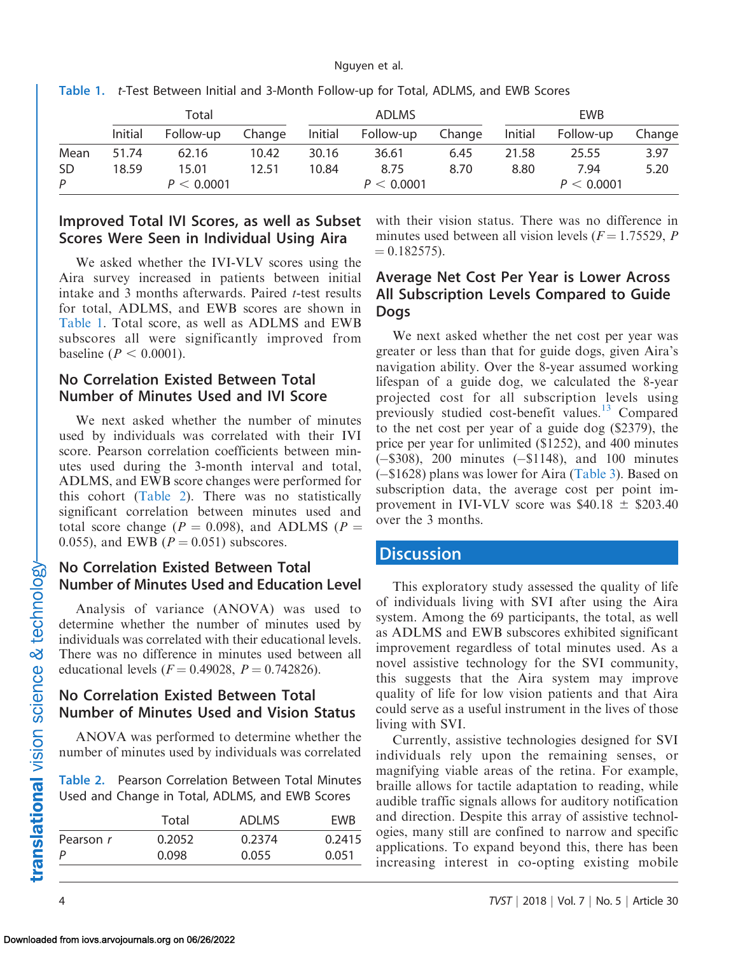|           | Total      |           |        | <b>ADLMS</b> |           |        | <b>EWB</b> |           |        |
|-----------|------------|-----------|--------|--------------|-----------|--------|------------|-----------|--------|
|           | Initial    | Follow-up | Change | Initial      | Follow-up | Change | Initial    | Follow-up | Change |
| Mean      | 51.74      | 62.16     | 10.42  | 30.16        | 36.61     | 6.45   | 21.58      | 25.55     | 3.97   |
| <b>SD</b> | 18.59      | 15.01     | 12.51  | 10.84        | 8.75      | 8.70   | 8.80       | 7.94      | 5.20   |
| P         | P < 0.0001 |           |        | P < 0.0001   |           |        | P < 0.0001 |           |        |

Table 1. t-Test Between Initial and 3-Month Follow-up for Total, ADLMS, and EWB Scores

#### Improved Total IVI Scores, as well as Subset Scores Were Seen in Individual Using Aira

We asked whether the IVI-VLV scores using the Aira survey increased in patients between initial intake and 3 months afterwards. Paired t-test results for total, ADLMS, and EWB scores are shown in Table 1. Total score, as well as ADLMS and EWB subscores all were significantly improved from baseline ( $P < 0.0001$ ).

#### No Correlation Existed Between Total Number of Minutes Used and IVI Score

We next asked whether the number of minutes used by individuals was correlated with their IVI score. Pearson correlation coefficients between minutes used during the 3-month interval and total, ADLMS, and EWB score changes were performed for this cohort (Table 2). There was no statistically significant correlation between minutes used and total score change ( $P = 0.098$ ), and ADLMS ( $P =$ 0.055), and EWB ( $P = 0.051$ ) subscores.

### No Correlation Existed Between Total Number of Minutes Used and Education Level

Analysis of variance (ANOVA) was used to determine whether the number of minutes used by individuals was correlated with their educational levels. There was no difference in minutes used between all educational levels ( $F = 0.49028$ ,  $P = 0.742826$ ).

# No Correlation Existed Between Total Number of Minutes Used and Vision Status

ANOVA was performed to determine whether the number of minutes used by individuals was correlated

Table 2. Pearson Correlation Between Total Minutes Used and Change in Total, ADLMS, and EWB Scores

|           | Total  | <b>ADLMS</b> | <b>FWR</b> |
|-----------|--------|--------------|------------|
| Pearson r | 0.2052 | 0.2374       | 0.2415     |
|           | 0.098  | 0.055        | 0.051      |

with their vision status. There was no difference in minutes used between all vision levels ( $F = 1.75529$ , P  $= 0.182575$ .

### Average Net Cost Per Year is Lower Across All Subscription Levels Compared to Guide Dogs

We next asked whether the net cost per year was greater or less than that for guide dogs, given Aira's navigation ability. Over the 8-year assumed working lifespan of a guide dog, we calculated the 8-year projected cost for all subscription levels using previously studied cost-benefit values.<sup>[13](#page-7-0)</sup> Compared to the net cost per year of a guide dog (\$2379), the price per year for unlimited (\$1252), and 400 minutes (-\$308), 200 minutes (-\$1148), and 100 minutes (-\$1628) plans was lower for Aira [\(Table 3](#page-4-0)). Based on subscription data, the average cost per point improvement in IVI-VLV score was  $$40.18 \pm $203.40$ over the 3 months.

### **Discussion**

This exploratory study assessed the quality of life of individuals living with SVI after using the Aira system. Among the 69 participants, the total, as well as ADLMS and EWB subscores exhibited significant improvement regardless of total minutes used. As a novel assistive technology for the SVI community, this suggests that the Aira system may improve quality of life for low vision patients and that Aira could serve as a useful instrument in the lives of those living with SVI.

Currently, assistive technologies designed for SVI individuals rely upon the remaining senses, or magnifying viable areas of the retina. For example, braille allows for tactile adaptation to reading, while audible traffic signals allows for auditory notification and direction. Despite this array of assistive technologies, many still are confined to narrow and specific applications. To expand beyond this, there has been increasing interest in co-opting existing mobile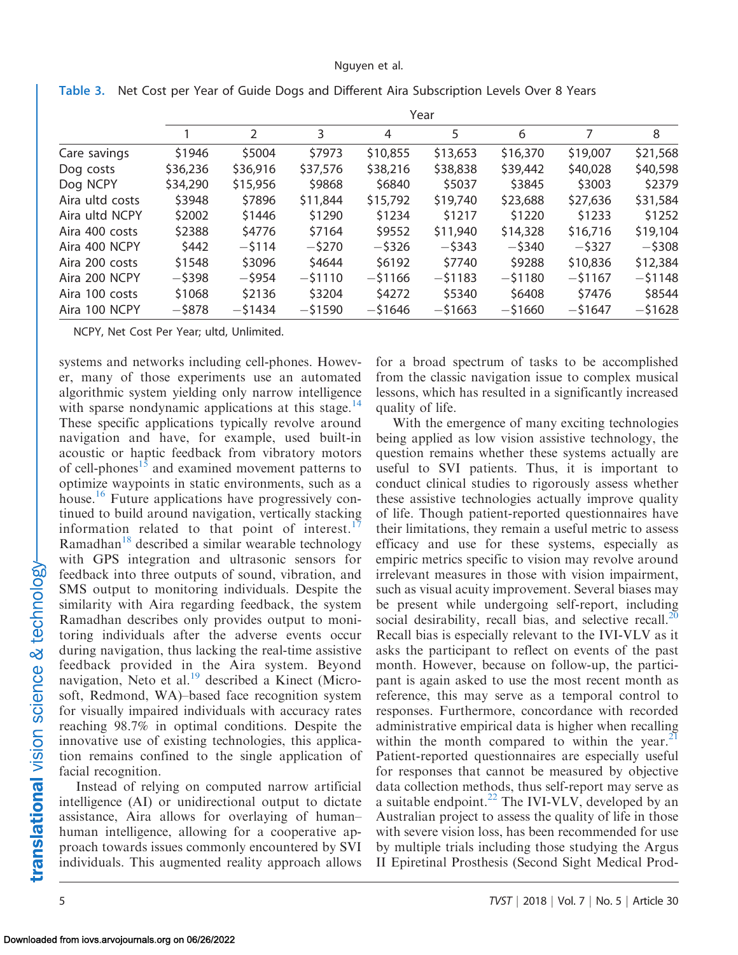#### Nguyen et al.

|                 | Year      |                |            |            |            |            |            |            |
|-----------------|-----------|----------------|------------|------------|------------|------------|------------|------------|
|                 |           | $\mathfrak{p}$ | 3          | 4          | 5          | 6          | 7          | 8          |
| Care savings    | \$1946    | \$5004         | \$7973     | \$10,855   | \$13,653   | \$16,370   | \$19,007   | \$21,568   |
| Dog costs       | \$36,236  | \$36,916       | \$37,576   | \$38,216   | \$38,838   | \$39,442   | \$40,028   | \$40,598   |
| Dog NCPY        | \$34,290  | \$15,956       | \$9868     | \$6840     | \$5037     | \$3845     | \$3003     | \$2379     |
| Aira ultd costs | \$3948    | \$7896         | \$11,844   | \$15,792   | \$19,740   | \$23,688   | \$27,636   | \$31,584   |
| Aira ultd NCPY  | \$2002    | \$1446         | \$1290     | \$1234     | \$1217     | \$1220     | \$1233     | \$1252     |
| Aira 400 costs  | \$2388    | \$4776         | \$7164     | \$9552     | \$11,940   | \$14,328   | \$16,716   | \$19,104   |
| Aira 400 NCPY   | \$442     | $-5114$        | $-5270$    | $-$ \$326  | $-$ \$343  | $-$ \$340  | $-$ \$327  | $-$ \$308  |
| Aira 200 costs  | \$1548    | \$3096         | \$4644     | \$6192     | \$7740     | \$9288     | \$10,836   | \$12,384   |
| Aira 200 NCPY   | $-$ \$398 | $-$ \$954      | $-51110$   | $-$ \$1166 | $-$ \$1183 | $-$ \$1180 | $-51167$   | $-$ \$1148 |
| Aira 100 costs  | \$1068    | \$2136         | \$3204     | \$4272     | \$5340     | \$6408     | \$7476     | \$8544     |
| Aira 100 NCPY   | $-$ \$878 | $-$ \$1434     | $-$ \$1590 | $-$ \$1646 | $-$ \$1663 | $-51660$   | $-$ \$1647 | $-$ \$1628 |

<span id="page-4-0"></span>Table 3. Net Cost per Year of Guide Dogs and Different Aira Subscription Levels Over 8 Years

NCPY, Net Cost Per Year; ultd, Unlimited.

systems and networks including cell-phones. However, many of those experiments use an automated algorithmic system yielding only narrow intelligence with sparse nondynamic applications at this stage.<sup>[14](#page-7-0)</sup> These specific applications typically revolve around navigation and have, for example, used built-in acoustic or haptic feedback from vibratory motors of cell-phones<sup>[15](#page-7-0)</sup> and examined movement patterns to optimize waypoints in static environments, such as a house.<sup>16</sup> Future applications have progressively continued to build around navigation, vertically stacking information related to that point of interest.<sup>[17](#page-7-0)</sup> Ramadhan<sup>18</sup> described a similar wearable technology with GPS integration and ultrasonic sensors for feedback into three outputs of sound, vibration, and SMS output to monitoring individuals. Despite the similarity with Aira regarding feedback, the system Ramadhan describes only provides output to monitoring individuals after the adverse events occur during navigation, thus lacking the real-time assistive feedback provided in the Aira system. Beyond navigation, Neto et al. $^{19}$  $^{19}$  $^{19}$  described a Kinect (Microsoft, Redmond, WA)–based face recognition system for visually impaired individuals with accuracy rates reaching 98.7% in optimal conditions. Despite the innovative use of existing technologies, this application remains confined to the single application of facial recognition.

Instead of relying on computed narrow artificial intelligence (AI) or unidirectional output to dictate assistance, Aira allows for overlaying of human– human intelligence, allowing for a cooperative approach towards issues commonly encountered by SVI individuals. This augmented reality approach allows

for a broad spectrum of tasks to be accomplished from the classic navigation issue to complex musical lessons, which has resulted in a significantly increased quality of life.

With the emergence of many exciting technologies being applied as low vision assistive technology, the question remains whether these systems actually are useful to SVI patients. Thus, it is important to conduct clinical studies to rigorously assess whether these assistive technologies actually improve quality of life. Though patient-reported questionnaires have their limitations, they remain a useful metric to assess efficacy and use for these systems, especially as empiric metrics specific to vision may revolve around irrelevant measures in those with vision impairment, such as visual acuity improvement. Several biases may be present while undergoing self-report, including social desirability, recall bias, and selective recall. $^{20}$  $^{20}$  $^{20}$ Recall bias is especially relevant to the IVI-VLV as it asks the participant to reflect on events of the past month. However, because on follow-up, the participant is again asked to use the most recent month as reference, this may serve as a temporal control to responses. Furthermore, concordance with recorded administrative empirical data is higher when recalling within the month compared to within the year.  $21$ Patient-reported questionnaires are especially useful for responses that cannot be measured by objective data collection methods, thus self-report may serve as a suitable endpoint. $^{22}$  $^{22}$  $^{22}$  The IVI-VLV, developed by an Australian project to assess the quality of life in those with severe vision loss, has been recommended for use by multiple trials including those studying the Argus II Epiretinal Prosthesis (Second Sight Medical Prod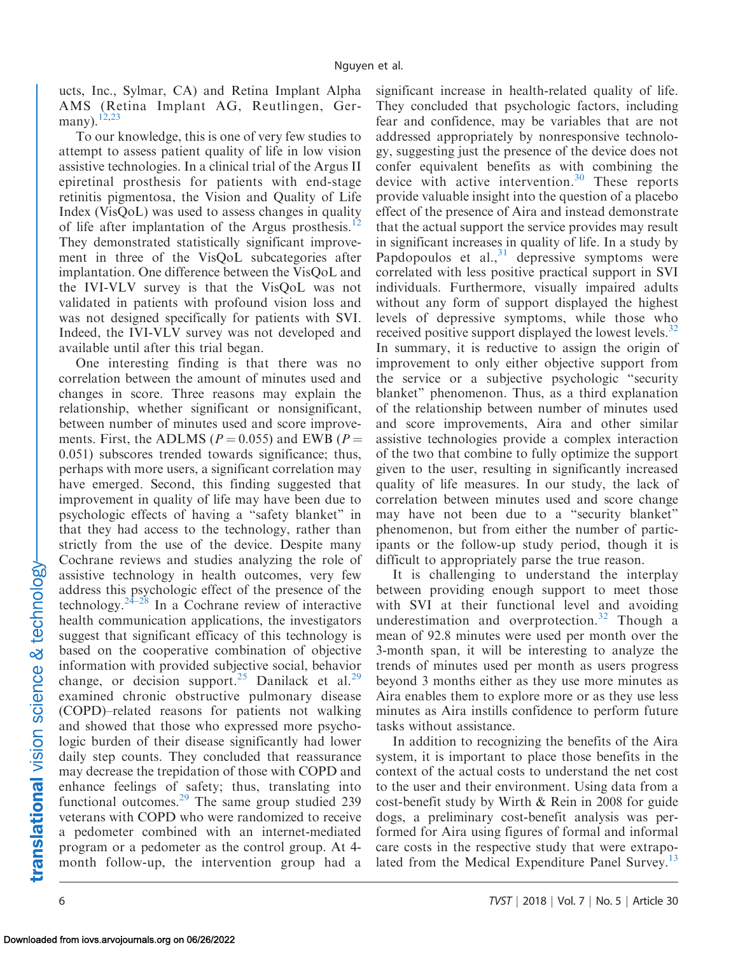ucts, Inc., Sylmar, CA) and Retina Implant Alpha AMS (Retina Implant AG, Reutlingen, Germany).  $12,23$ 

To our knowledge, this is one of very few studies to attempt to assess patient quality of life in low vision assistive technologies. In a clinical trial of the Argus II epiretinal prosthesis for patients with end-stage retinitis pigmentosa, the Vision and Quality of Life Index (VisQoL) was used to assess changes in quality of life after implantation of the Argus prosthesis.<sup>[12](#page-7-0)</sup> They demonstrated statistically significant improvement in three of the VisQoL subcategories after implantation. One difference between the VisQoL and the IVI-VLV survey is that the VisQoL was not validated in patients with profound vision loss and was not designed specifically for patients with SVI. Indeed, the IVI-VLV survey was not developed and available until after this trial began.

One interesting finding is that there was no correlation between the amount of minutes used and changes in score. Three reasons may explain the relationship, whether significant or nonsignificant, between number of minutes used and score improvements. First, the ADLMS ( $P = 0.055$ ) and EWB ( $P =$ 0.051) subscores trended towards significance; thus, perhaps with more users, a significant correlation may have emerged. Second, this finding suggested that improvement in quality of life may have been due to psychologic effects of having a ''safety blanket'' in that they had access to the technology, rather than strictly from the use of the device. Despite many Cochrane reviews and studies analyzing the role of assistive technology in health outcomes, very few address this psychologic effect of the presence of the technology. $2^{4-28}$  In a Cochrane review of interactive health communication applications, the investigators suggest that significant efficacy of this technology is based on the cooperative combination of objective information with provided subjective social, behavior change, or decision support.<sup>[25](#page-7-0)</sup> Danilack et al.<sup>[29](#page-7-0)</sup> examined chronic obstructive pulmonary disease (COPD)–related reasons for patients not walking and showed that those who expressed more psychologic burden of their disease significantly had lower daily step counts. They concluded that reassurance may decrease the trepidation of those with COPD and enhance feelings of safety; thus, translating into functional outcomes.<sup>[29](#page-7-0)</sup> The same group studied 239 veterans with COPD who were randomized to receive a pedometer combined with an internet-mediated program or a pedometer as the control group. At 4 month follow-up, the intervention group had a

significant increase in health-related quality of life. They concluded that psychologic factors, including fear and confidence, may be variables that are not addressed appropriately by nonresponsive technology, suggesting just the presence of the device does not confer equivalent benefits as with combining the device with active intervention.<sup>[30](#page-8-0)</sup> These reports provide valuable insight into the question of a placebo effect of the presence of Aira and instead demonstrate that the actual support the service provides may result in significant increases in quality of life. In a study by Papdopoulos et al., $31$  depressive symptoms were correlated with less positive practical support in SVI individuals. Furthermore, visually impaired adults without any form of support displayed the highest levels of depressive symptoms, while those who received positive support displayed the lowest levels.<sup>[32](#page-8-0)</sup> In summary, it is reductive to assign the origin of improvement to only either objective support from the service or a subjective psychologic ''security blanket'' phenomenon. Thus, as a third explanation of the relationship between number of minutes used and score improvements, Aira and other similar assistive technologies provide a complex interaction of the two that combine to fully optimize the support given to the user, resulting in significantly increased quality of life measures. In our study, the lack of correlation between minutes used and score change may have not been due to a ''security blanket'' phenomenon, but from either the number of participants or the follow-up study period, though it is difficult to appropriately parse the true reason.

It is challenging to understand the interplay between providing enough support to meet those with SVI at their functional level and avoiding underestimation and overprotection.<sup>[32](#page-8-0)</sup> Though a mean of 92.8 minutes were used per month over the 3-month span, it will be interesting to analyze the trends of minutes used per month as users progress beyond 3 months either as they use more minutes as Aira enables them to explore more or as they use less minutes as Aira instills confidence to perform future tasks without assistance.

In addition to recognizing the benefits of the Aira system, it is important to place those benefits in the context of the actual costs to understand the net cost to the user and their environment. Using data from a cost-benefit study by Wirth & Rein in 2008 for guide dogs, a preliminary cost-benefit analysis was performed for Aira using figures of formal and informal care costs in the respective study that were extrapo-lated from the Medical Expenditure Panel Survey.<sup>[13](#page-7-0)</sup>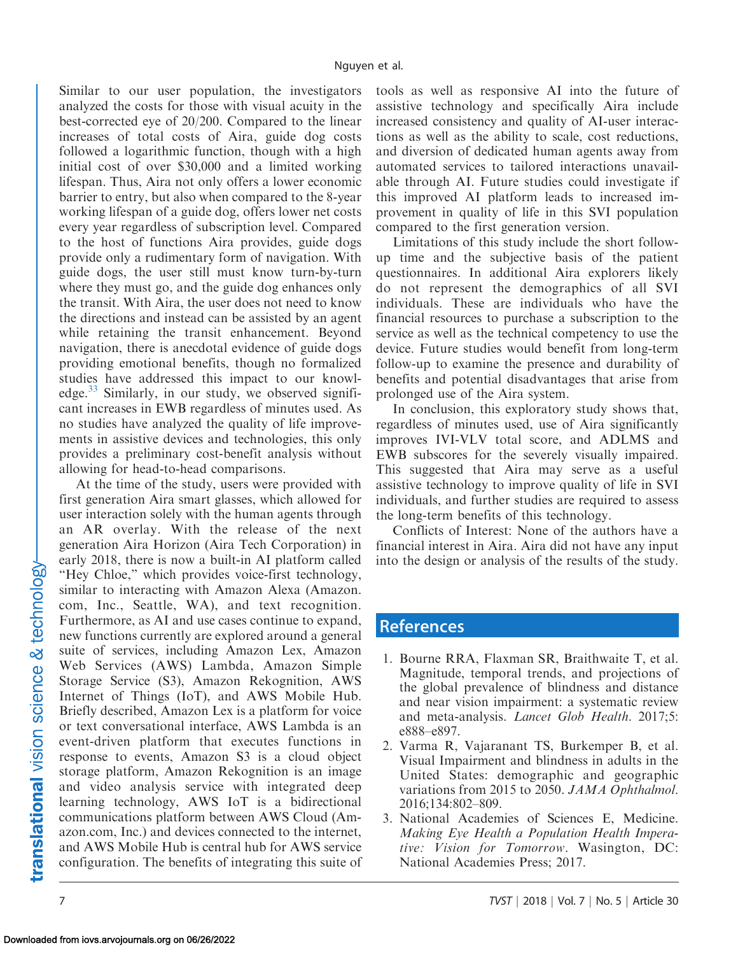<span id="page-6-0"></span>Similar to our user population, the investigators analyzed the costs for those with visual acuity in the best-corrected eye of 20/200. Compared to the linear increases of total costs of Aira, guide dog costs followed a logarithmic function, though with a high initial cost of over \$30,000 and a limited working lifespan. Thus, Aira not only offers a lower economic barrier to entry, but also when compared to the 8-year working lifespan of a guide dog, offers lower net costs every year regardless of subscription level. Compared to the host of functions Aira provides, guide dogs provide only a rudimentary form of navigation. With guide dogs, the user still must know turn-by-turn where they must go, and the guide dog enhances only the transit. With Aira, the user does not need to know the directions and instead can be assisted by an agent while retaining the transit enhancement. Beyond navigation, there is anecdotal evidence of guide dogs providing emotional benefits, though no formalized studies have addressed this impact to our knowledge. $33$  Similarly, in our study, we observed significant increases in EWB regardless of minutes used. As no studies have analyzed the quality of life improvements in assistive devices and technologies, this only provides a preliminary cost-benefit analysis without allowing for head-to-head comparisons.

At the time of the study, users were provided with first generation Aira smart glasses, which allowed for user interaction solely with the human agents through an AR overlay. With the release of the next generation Aira Horizon (Aira Tech Corporation) in early 2018, there is now a built-in AI platform called "Hey Chloe," which provides voice-first technology, similar to interacting with Amazon Alexa (Amazon. com, Inc., Seattle, WA), and text recognition. Furthermore, as AI and use cases continue to expand, new functions currently are explored around a general suite of services, including Amazon Lex, Amazon Web Services (AWS) Lambda, Amazon Simple Storage Service (S3), Amazon Rekognition, AWS Internet of Things (IoT), and AWS Mobile Hub. Briefly described, Amazon Lex is a platform for voice or text conversational interface, AWS Lambda is an event-driven platform that executes functions in response to events, Amazon S3 is a cloud object storage platform, Amazon Rekognition is an image and video analysis service with integrated deep learning technology, AWS IoT is a bidirectional communications platform between AWS Cloud (Amazon.com, Inc.) and devices connected to the internet, and AWS Mobile Hub is central hub for AWS service configuration. The benefits of integrating this suite of

tools as well as responsive AI into the future of assistive technology and specifically Aira include increased consistency and quality of AI-user interactions as well as the ability to scale, cost reductions, and diversion of dedicated human agents away from automated services to tailored interactions unavailable through AI. Future studies could investigate if this improved AI platform leads to increased improvement in quality of life in this SVI population compared to the first generation version.

Limitations of this study include the short followup time and the subjective basis of the patient questionnaires. In additional Aira explorers likely do not represent the demographics of all SVI individuals. These are individuals who have the financial resources to purchase a subscription to the service as well as the technical competency to use the device. Future studies would benefit from long-term follow-up to examine the presence and durability of benefits and potential disadvantages that arise from prolonged use of the Aira system.

In conclusion, this exploratory study shows that, regardless of minutes used, use of Aira significantly improves IVI-VLV total score, and ADLMS and EWB subscores for the severely visually impaired. This suggested that Aira may serve as a useful assistive technology to improve quality of life in SVI individuals, and further studies are required to assess the long-term benefits of this technology.

Conflicts of Interest: None of the authors have a financial interest in Aira. Aira did not have any input into the design or analysis of the results of the study.

# **References**

- 1. Bourne RRA, Flaxman SR, Braithwaite T, et al. Magnitude, temporal trends, and projections of the global prevalence of blindness and distance and near vision impairment: a systematic review and meta-analysis. Lancet Glob Health. 2017;5: e888–e897.
- 2. Varma R, Vajaranant TS, Burkemper B, et al. Visual Impairment and blindness in adults in the United States: demographic and geographic variations from 2015 to 2050. JAMA Ophthalmol. 2016;134:802–809.
- 3. National Academies of Sciences E, Medicine. Making Eye Health a Population Health Imperative: Vision for Tomorrow. Wasington, DC: National Academies Press; 2017.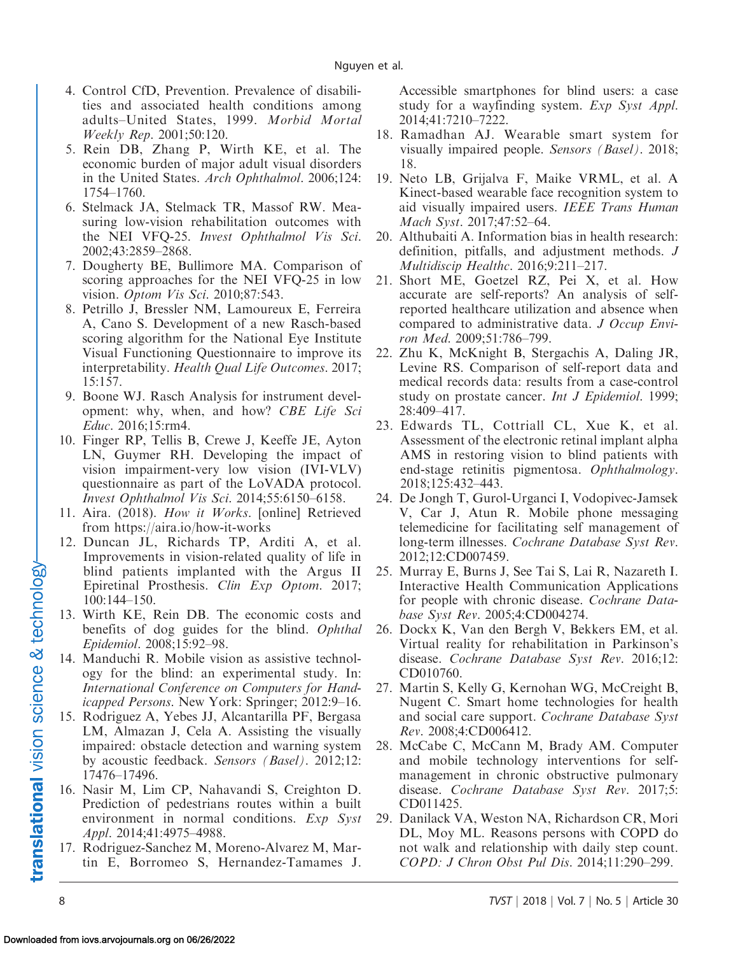- <span id="page-7-0"></span>4. Control CfD, Prevention. Prevalence of disabilities and associated health conditions among adults–United States, 1999. Morbid Mortal Weekly Rep. 2001;50:120.
- 5. Rein DB, Zhang P, Wirth KE, et al. The economic burden of major adult visual disorders in the United States. Arch Ophthalmol. 2006;124: 1754–1760.
- 6. Stelmack JA, Stelmack TR, Massof RW. Measuring low-vision rehabilitation outcomes with the NEI VFQ-25. Invest Ophthalmol Vis Sci. 2002;43:2859–2868.
- 7. Dougherty BE, Bullimore MA. Comparison of scoring approaches for the NEI VFQ-25 in low vision. Optom Vis Sci. 2010;87:543.
- 8. Petrillo J, Bressler NM, Lamoureux E, Ferreira A, Cano S. Development of a new Rasch-based scoring algorithm for the National Eye Institute Visual Functioning Questionnaire to improve its interpretability. Health Qual Life Outcomes. 2017; 15:157.
- 9. Boone WJ. Rasch Analysis for instrument development: why, when, and how? CBE Life Sci Educ. 2016;15:rm4.
- 10. Finger RP, Tellis B, Crewe J, Keeffe JE, Ayton LN, Guymer RH. Developing the impact of vision impairment-very low vision (IVI-VLV) questionnaire as part of the LoVADA protocol. Invest Ophthalmol Vis Sci. 2014;55:6150–6158.
- 11. Aira. (2018). How it Works. [online] Retrieved from https://aira.io/how-it-works
- 12. Duncan JL, Richards TP, Arditi A, et al. Improvements in vision-related quality of life in blind patients implanted with the Argus II Epiretinal Prosthesis. Clin Exp Optom. 2017; 100:144–150.
- 13. Wirth KE, Rein DB. The economic costs and benefits of dog guides for the blind. Ophthal Epidemiol. 2008;15:92–98.
- 14. Manduchi R. Mobile vision as assistive technology for the blind: an experimental study. In: International Conference on Computers for Handicapped Persons. New York: Springer; 2012:9–16.
- 15. Rodriguez A, Yebes JJ, Alcantarilla PF, Bergasa LM, Almazan J, Cela A. Assisting the visually impaired: obstacle detection and warning system by acoustic feedback. Sensors (Basel). 2012;12: 17476–17496.
- 16. Nasir M, Lim CP, Nahavandi S, Creighton D. Prediction of pedestrians routes within a built environment in normal conditions. Exp Syst Appl. 2014;41:4975–4988.
- 17. Rodriguez-Sanchez M, Moreno-Alvarez M, Martin E, Borromeo S, Hernandez-Tamames J.

Accessible smartphones for blind users: a case study for a wayfinding system. Exp Syst Appl. 2014;41:7210–7222.

- 18. Ramadhan AJ. Wearable smart system for visually impaired people. Sensors (Basel). 2018; 18.
- 19. Neto LB, Grijalva F, Maike VRML, et al. A Kinect-based wearable face recognition system to aid visually impaired users. IEEE Trans Human Mach Syst. 2017;47:52–64.
- 20. Althubaiti A. Information bias in health research: definition, pitfalls, and adjustment methods. J Multidiscip Healthc. 2016;9:211–217.
- 21. Short ME, Goetzel RZ, Pei X, et al. How accurate are self-reports? An analysis of selfreported healthcare utilization and absence when compared to administrative data. J Occup Environ Med. 2009;51:786–799.
- 22. Zhu K, McKnight B, Stergachis A, Daling JR, Levine RS. Comparison of self-report data and medical records data: results from a case-control study on prostate cancer. Int J Epidemiol. 1999; 28:409–417.
- 23. Edwards TL, Cottriall CL, Xue K, et al. Assessment of the electronic retinal implant alpha AMS in restoring vision to blind patients with end-stage retinitis pigmentosa. Ophthalmology. 2018;125:432–443.
- 24. De Jongh T, Gurol-Urganci I, Vodopivec-Jamsek V, Car J, Atun R. Mobile phone messaging telemedicine for facilitating self management of long-term illnesses. Cochrane Database Syst Rev. 2012;12:CD007459.
- 25. Murray E, Burns J, See Tai S, Lai R, Nazareth I. Interactive Health Communication Applications for people with chronic disease. Cochrane Database Syst Rev. 2005;4:CD004274.
- 26. Dockx K, Van den Bergh V, Bekkers EM, et al. Virtual reality for rehabilitation in Parkinson's disease. Cochrane Database Syst Rev. 2016;12: CD010760.
- 27. Martin S, Kelly G, Kernohan WG, McCreight B, Nugent C. Smart home technologies for health and social care support. Cochrane Database Syst Rev. 2008;4:CD006412.
- 28. McCabe C, McCann M, Brady AM. Computer and mobile technology interventions for selfmanagement in chronic obstructive pulmonary disease. Cochrane Database Syst Rev. 2017;5: CD011425.
- 29. Danilack VA, Weston NA, Richardson CR, Mori DL, Moy ML. Reasons persons with COPD do not walk and relationship with daily step count. COPD: J Chron Obst Pul Dis. 2014;11:290–299.